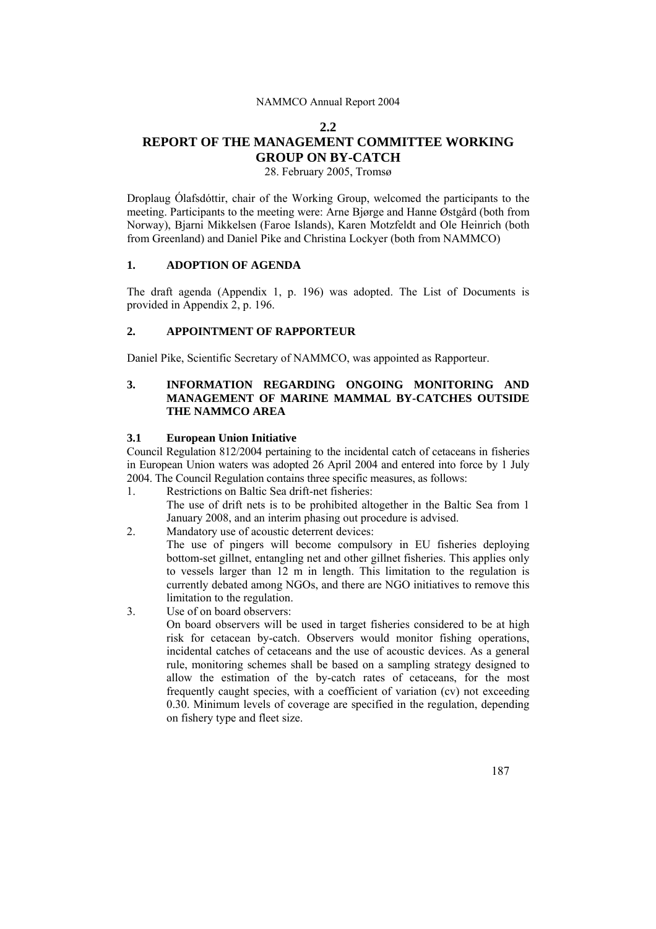#### **2.2**

# **REPORT OF THE MANAGEMENT COMMITTEE WORKING GROUP ON BY-CATCH**

28. February 2005, Tromsø

Droplaug Ólafsdóttir, chair of the Working Group, welcomed the participants to the meeting. Participants to the meeting were: Arne Bjørge and Hanne Østgård (both from Norway), Bjarni Mikkelsen (Faroe Islands), Karen Motzfeldt and Ole Heinrich (both from Greenland) and Daniel Pike and Christina Lockyer (both from NAMMCO)

## **1. ADOPTION OF AGENDA**

The draft agenda (Appendix 1, p. 196) was adopted. The List of Documents is provided in Appendix 2, p. 196.

# **2. APPOINTMENT OF RAPPORTEUR**

Daniel Pike, Scientific Secretary of NAMMCO, was appointed as Rapporteur.

# **3. INFORMATION REGARDING ONGOING MONITORING AND MANAGEMENT OF MARINE MAMMAL BY-CATCHES OUTSIDE THE NAMMCO AREA**

#### **3.1 European Union Initiative**

Council Regulation 812/2004 pertaining to the incidental catch of cetaceans in fisheries in European Union waters was adopted 26 April 2004 and entered into force by 1 July 2004. The Council Regulation contains three specific measures, as follows:

- 1. Restrictions on Baltic Sea drift-net fisheries: The use of drift nets is to be prohibited altogether in the Baltic Sea from 1 January 2008, and an interim phasing out procedure is advised.
- 2. Mandatory use of acoustic deterrent devices:

The use of pingers will become compulsory in EU fisheries deploying bottom-set gillnet, entangling net and other gillnet fisheries. This applies only to vessels larger than 12 m in length. This limitation to the regulation is currently debated among NGOs, and there are NGO initiatives to remove this limitation to the regulation.

3. Use of on board observers:

On board observers will be used in target fisheries considered to be at high risk for cetacean by-catch. Observers would monitor fishing operations, incidental catches of cetaceans and the use of acoustic devices. As a general rule, monitoring schemes shall be based on a sampling strategy designed to allow the estimation of the by-catch rates of cetaceans, for the most frequently caught species, with a coefficient of variation (cv) not exceeding 0.30. Minimum levels of coverage are specified in the regulation, depending on fishery type and fleet size.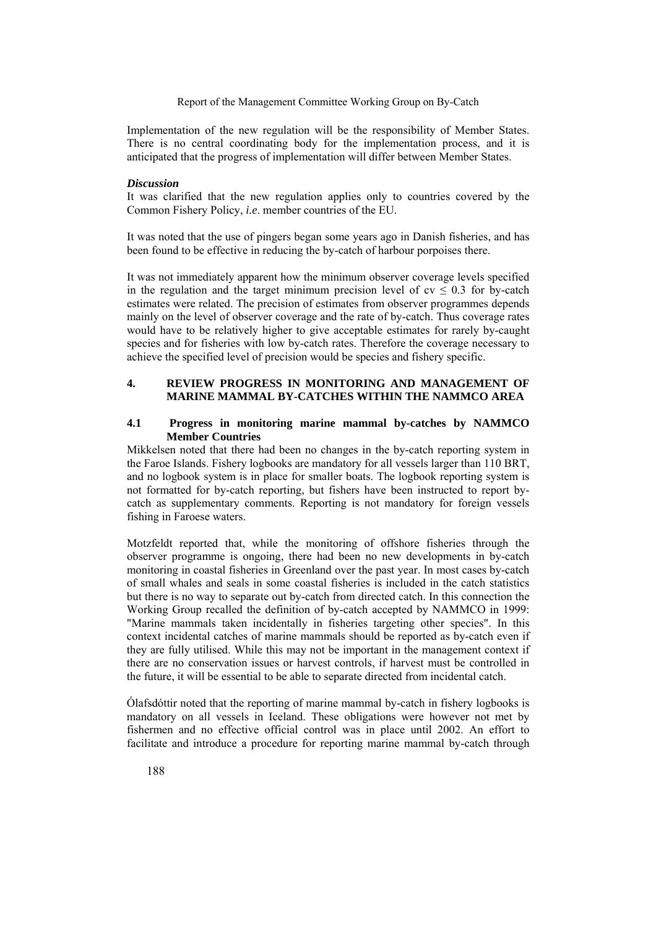Implementation of the new regulation will be the responsibility of Member States. There is no central coordinating body for the implementation process, and it is anticipated that the progress of implementation will differ between Member States.

#### *Discussion*

It was clarified that the new regulation applies only to countries covered by the Common Fishery Policy, *i.e*. member countries of the EU.

It was noted that the use of pingers began some years ago in Danish fisheries, and has been found to be effective in reducing the by-catch of harbour porpoises there.

It was not immediately apparent how the minimum observer coverage levels specified in the regulation and the target minimum precision level of  $cv \le 0.3$  for by-catch estimates were related. The precision of estimates from observer programmes depends mainly on the level of observer coverage and the rate of by-catch. Thus coverage rates would have to be relatively higher to give acceptable estimates for rarely by-caught species and for fisheries with low by-catch rates. Therefore the coverage necessary to achieve the specified level of precision would be species and fishery specific.

# **4. REVIEW PROGRESS IN MONITORING AND MANAGEMENT OF MARINE MAMMAL BY-CATCHES WITHIN THE NAMMCO AREA**

#### **4.1 Progress in monitoring marine mammal by-catches by NAMMCO Member Countries**

Mikkelsen noted that there had been no changes in the by-catch reporting system in the Faroe Islands. Fishery logbooks are mandatory for all vessels larger than 110 BRT, and no logbook system is in place for smaller boats. The logbook reporting system is not formatted for by-catch reporting, but fishers have been instructed to report bycatch as supplementary comments. Reporting is not mandatory for foreign vessels fishing in Faroese waters.

Motzfeldt reported that, while the monitoring of offshore fisheries through the observer programme is ongoing, there had been no new developments in by-catch monitoring in coastal fisheries in Greenland over the past year. In most cases by-catch of small whales and seals in some coastal fisheries is included in the catch statistics but there is no way to separate out by-catch from directed catch. In this connection the Working Group recalled the definition of by-catch accepted by NAMMCO in 1999: "Marine mammals taken incidentally in fisheries targeting other species". In this context incidental catches of marine mammals should be reported as by-catch even if they are fully utilised. While this may not be important in the management context if there are no conservation issues or harvest controls, if harvest must be controlled in the future, it will be essential to be able to separate directed from incidental catch.

Ólafsdóttir noted that the reporting of marine mammal by-catch in fishery logbooks is mandatory on all vessels in Iceland. These obligations were however not met by fishermen and no effective official control was in place until 2002. An effort to facilitate and introduce a procedure for reporting marine mammal by-catch through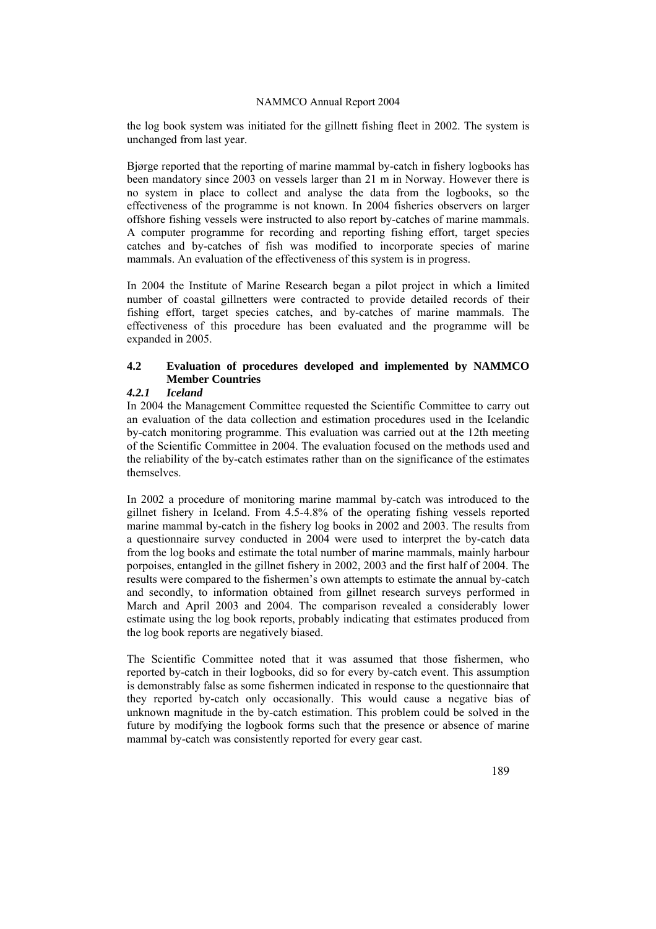the log book system was initiated for the gillnett fishing fleet in 2002. The system is unchanged from last year.

Bjørge reported that the reporting of marine mammal by-catch in fishery logbooks has been mandatory since 2003 on vessels larger than 21 m in Norway. However there is no system in place to collect and analyse the data from the logbooks, so the effectiveness of the programme is not known. In 2004 fisheries observers on larger offshore fishing vessels were instructed to also report by-catches of marine mammals. A computer programme for recording and reporting fishing effort, target species catches and by-catches of fish was modified to incorporate species of marine mammals. An evaluation of the effectiveness of this system is in progress.

In 2004 the Institute of Marine Research began a pilot project in which a limited number of coastal gillnetters were contracted to provide detailed records of their fishing effort, target species catches, and by-catches of marine mammals. The effectiveness of this procedure has been evaluated and the programme will be expanded in 2005.

# **4.2 Evaluation of procedures developed and implemented by NAMMCO Member Countries**

# *4.2.1 Iceland*

In 2004 the Management Committee requested the Scientific Committee to carry out an evaluation of the data collection and estimation procedures used in the Icelandic by-catch monitoring programme. This evaluation was carried out at the 12th meeting of the Scientific Committee in 2004. The evaluation focused on the methods used and the reliability of the by-catch estimates rather than on the significance of the estimates themselves.

In 2002 a procedure of monitoring marine mammal by-catch was introduced to the gillnet fishery in Iceland. From 4.5-4.8% of the operating fishing vessels reported marine mammal by-catch in the fishery log books in 2002 and 2003. The results from a questionnaire survey conducted in 2004 were used to interpret the by-catch data from the log books and estimate the total number of marine mammals, mainly harbour porpoises, entangled in the gillnet fishery in 2002, 2003 and the first half of 2004. The results were compared to the fishermen's own attempts to estimate the annual by-catch and secondly, to information obtained from gillnet research surveys performed in March and April 2003 and 2004. The comparison revealed a considerably lower estimate using the log book reports, probably indicating that estimates produced from the log book reports are negatively biased.

The Scientific Committee noted that it was assumed that those fishermen, who reported by-catch in their logbooks, did so for every by-catch event. This assumption is demonstrably false as some fishermen indicated in response to the questionnaire that they reported by-catch only occasionally. This would cause a negative bias of unknown magnitude in the by-catch estimation. This problem could be solved in the future by modifying the logbook forms such that the presence or absence of marine mammal by-catch was consistently reported for every gear cast.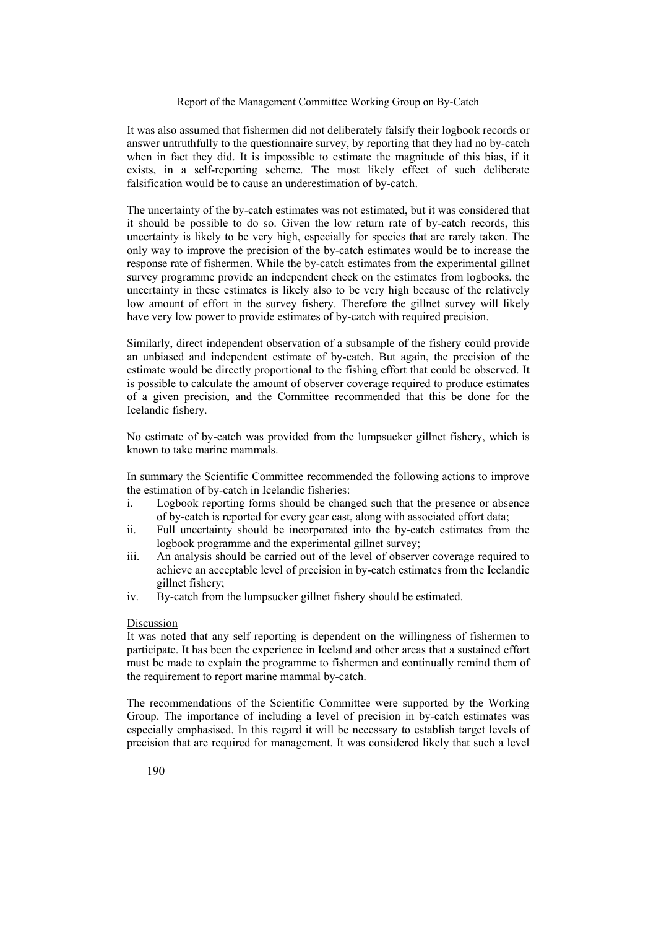It was also assumed that fishermen did not deliberately falsify their logbook records or answer untruthfully to the questionnaire survey, by reporting that they had no by-catch when in fact they did. It is impossible to estimate the magnitude of this bias, if it exists, in a self-reporting scheme. The most likely effect of such deliberate falsification would be to cause an underestimation of by-catch.

The uncertainty of the by-catch estimates was not estimated, but it was considered that it should be possible to do so. Given the low return rate of by-catch records, this uncertainty is likely to be very high, especially for species that are rarely taken. The only way to improve the precision of the by-catch estimates would be to increase the response rate of fishermen. While the by-catch estimates from the experimental gillnet survey programme provide an independent check on the estimates from logbooks, the uncertainty in these estimates is likely also to be very high because of the relatively low amount of effort in the survey fishery. Therefore the gillnet survey will likely have very low power to provide estimates of by-catch with required precision.

Similarly, direct independent observation of a subsample of the fishery could provide an unbiased and independent estimate of by-catch. But again, the precision of the estimate would be directly proportional to the fishing effort that could be observed. It is possible to calculate the amount of observer coverage required to produce estimates of a given precision, and the Committee recommended that this be done for the Icelandic fishery.

No estimate of by-catch was provided from the lumpsucker gillnet fishery, which is known to take marine mammals.

In summary the Scientific Committee recommended the following actions to improve the estimation of by-catch in Icelandic fisheries:

- i. Logbook reporting forms should be changed such that the presence or absence of by-catch is reported for every gear cast, along with associated effort data;
- ii. Full uncertainty should be incorporated into the by-catch estimates from the logbook programme and the experimental gillnet survey;
- iii. An analysis should be carried out of the level of observer coverage required to achieve an acceptable level of precision in by-catch estimates from the Icelandic gillnet fishery;
- iv. By-catch from the lumpsucker gillnet fishery should be estimated.

#### Discussion

It was noted that any self reporting is dependent on the willingness of fishermen to participate. It has been the experience in Iceland and other areas that a sustained effort must be made to explain the programme to fishermen and continually remind them of the requirement to report marine mammal by-catch.

The recommendations of the Scientific Committee were supported by the Working Group. The importance of including a level of precision in by-catch estimates was especially emphasised. In this regard it will be necessary to establish target levels of precision that are required for management. It was considered likely that such a level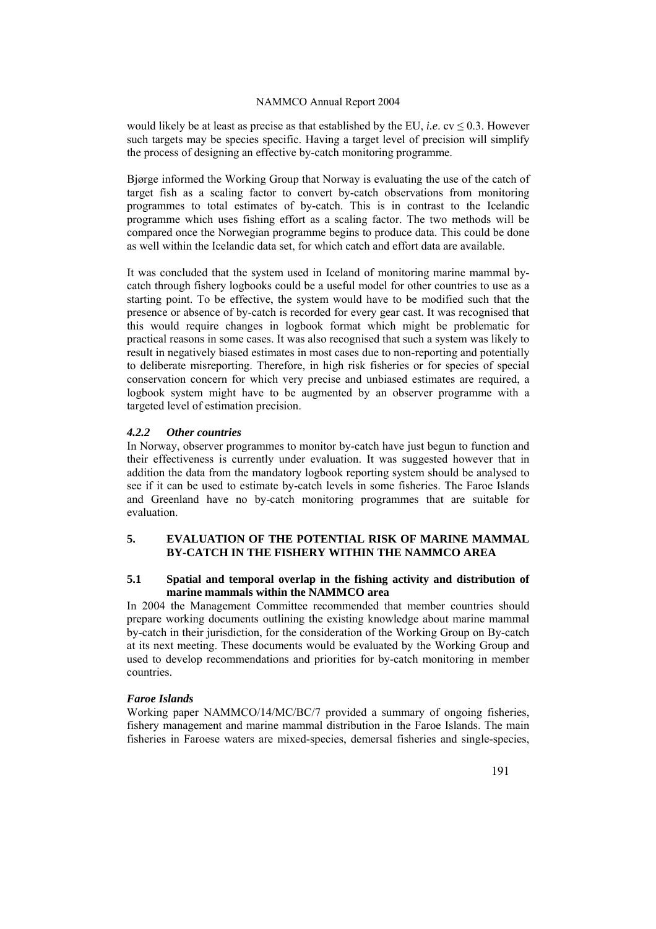would likely be at least as precise as that established by the EU, *i.e.*  $cv \le 0.3$ . However such targets may be species specific. Having a target level of precision will simplify the process of designing an effective by-catch monitoring programme.

Bjørge informed the Working Group that Norway is evaluating the use of the catch of target fish as a scaling factor to convert by-catch observations from monitoring programmes to total estimates of by-catch. This is in contrast to the Icelandic programme which uses fishing effort as a scaling factor. The two methods will be compared once the Norwegian programme begins to produce data. This could be done as well within the Icelandic data set, for which catch and effort data are available.

It was concluded that the system used in Iceland of monitoring marine mammal bycatch through fishery logbooks could be a useful model for other countries to use as a starting point. To be effective, the system would have to be modified such that the presence or absence of by-catch is recorded for every gear cast. It was recognised that this would require changes in logbook format which might be problematic for practical reasons in some cases. It was also recognised that such a system was likely to result in negatively biased estimates in most cases due to non-reporting and potentially to deliberate misreporting. Therefore, in high risk fisheries or for species of special conservation concern for which very precise and unbiased estimates are required, a logbook system might have to be augmented by an observer programme with a targeted level of estimation precision.

### *4.2.2 Other countries*

In Norway, observer programmes to monitor by-catch have just begun to function and their effectiveness is currently under evaluation. It was suggested however that in addition the data from the mandatory logbook reporting system should be analysed to see if it can be used to estimate by-catch levels in some fisheries. The Faroe Islands and Greenland have no by-catch monitoring programmes that are suitable for evaluation.

# **5. EVALUATION OF THE POTENTIAL RISK OF MARINE MAMMAL BY-CATCH IN THE FISHERY WITHIN THE NAMMCO AREA**

#### **5.1 Spatial and temporal overlap in the fishing activity and distribution of marine mammals within the NAMMCO area**

In 2004 the Management Committee recommended that member countries should prepare working documents outlining the existing knowledge about marine mammal by-catch in their jurisdiction, for the consideration of the Working Group on By-catch at its next meeting. These documents would be evaluated by the Working Group and used to develop recommendations and priorities for by-catch monitoring in member countries.

### *Faroe Islands*

Working paper NAMMCO/14/MC/BC/7 provided a summary of ongoing fisheries, fishery management and marine mammal distribution in the Faroe Islands. The main fisheries in Faroese waters are mixed-species, demersal fisheries and single-species,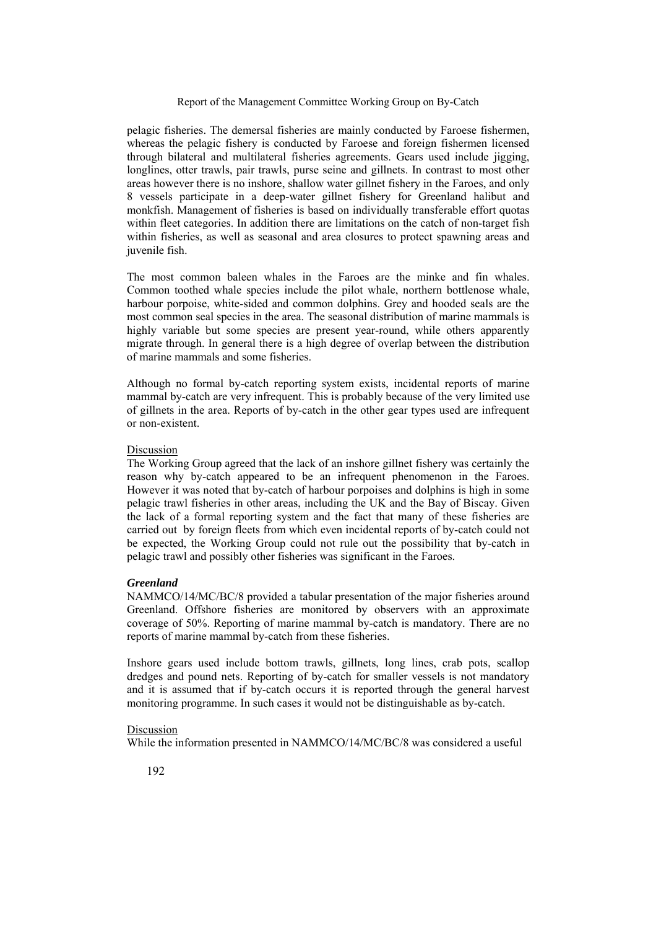pelagic fisheries. The demersal fisheries are mainly conducted by Faroese fishermen, whereas the pelagic fishery is conducted by Faroese and foreign fishermen licensed through bilateral and multilateral fisheries agreements. Gears used include jigging, longlines, otter trawls, pair trawls, purse seine and gillnets. In contrast to most other areas however there is no inshore, shallow water gillnet fishery in the Faroes, and only 8 vessels participate in a deep-water gillnet fishery for Greenland halibut and monkfish. Management of fisheries is based on individually transferable effort quotas within fleet categories. In addition there are limitations on the catch of non-target fish within fisheries, as well as seasonal and area closures to protect spawning areas and juvenile fish.

The most common baleen whales in the Faroes are the minke and fin whales. Common toothed whale species include the pilot whale, northern bottlenose whale, harbour porpoise, white-sided and common dolphins. Grey and hooded seals are the most common seal species in the area. The seasonal distribution of marine mammals is highly variable but some species are present year-round, while others apparently migrate through. In general there is a high degree of overlap between the distribution of marine mammals and some fisheries.

Although no formal by-catch reporting system exists, incidental reports of marine mammal by-catch are very infrequent. This is probably because of the very limited use of gillnets in the area. Reports of by-catch in the other gear types used are infrequent or non-existent.

#### Discussion

The Working Group agreed that the lack of an inshore gillnet fishery was certainly the reason why by-catch appeared to be an infrequent phenomenon in the Faroes. However it was noted that by-catch of harbour porpoises and dolphins is high in some pelagic trawl fisheries in other areas, including the UK and the Bay of Biscay. Given the lack of a formal reporting system and the fact that many of these fisheries are carried out by foreign fleets from which even incidental reports of by-catch could not be expected, the Working Group could not rule out the possibility that by-catch in pelagic trawl and possibly other fisheries was significant in the Faroes.

#### *Greenland*

NAMMCO/14/MC/BC/8 provided a tabular presentation of the major fisheries around Greenland. Offshore fisheries are monitored by observers with an approximate coverage of 50%. Reporting of marine mammal by-catch is mandatory. There are no reports of marine mammal by-catch from these fisheries.

Inshore gears used include bottom trawls, gillnets, long lines, crab pots, scallop dredges and pound nets. Reporting of by-catch for smaller vessels is not mandatory and it is assumed that if by-catch occurs it is reported through the general harvest monitoring programme. In such cases it would not be distinguishable as by-catch.

#### Discussion

While the information presented in NAMMCO/14/MC/BC/8 was considered a useful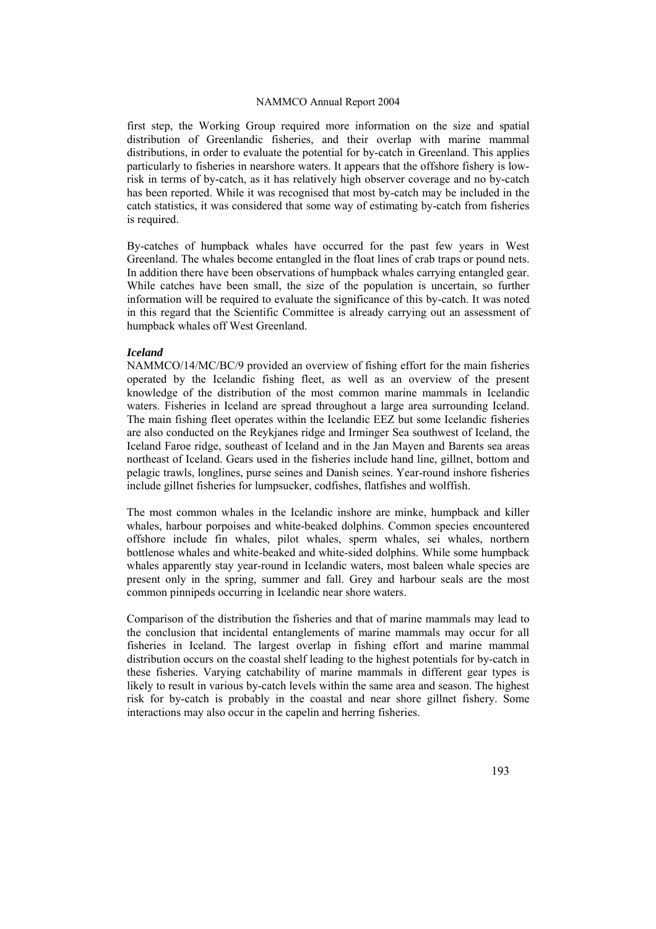first step, the Working Group required more information on the size and spatial distribution of Greenlandic fisheries, and their overlap with marine mammal distributions, in order to evaluate the potential for by-catch in Greenland. This applies particularly to fisheries in nearshore waters. It appears that the offshore fishery is lowrisk in terms of by-catch, as it has relatively high observer coverage and no by-catch has been reported. While it was recognised that most by-catch may be included in the catch statistics, it was considered that some way of estimating by-catch from fisheries is required.

By-catches of humpback whales have occurred for the past few years in West Greenland. The whales become entangled in the float lines of crab traps or pound nets. In addition there have been observations of humpback whales carrying entangled gear. While catches have been small, the size of the population is uncertain, so further information will be required to evaluate the significance of this by-catch. It was noted in this regard that the Scientific Committee is already carrying out an assessment of humpback whales off West Greenland.

#### *Iceland*

NAMMCO/14/MC/BC/9 provided an overview of fishing effort for the main fisheries operated by the Icelandic fishing fleet, as well as an overview of the present knowledge of the distribution of the most common marine mammals in Icelandic waters. Fisheries in Iceland are spread throughout a large area surrounding Iceland. The main fishing fleet operates within the Icelandic EEZ but some Icelandic fisheries are also conducted on the Reykjanes ridge and Irminger Sea southwest of Iceland, the Iceland Faroe ridge, southeast of Iceland and in the Jan Mayen and Barents sea areas northeast of Iceland. Gears used in the fisheries include hand line, gillnet, bottom and pelagic trawls, longlines, purse seines and Danish seines. Year-round inshore fisheries include gillnet fisheries for lumpsucker, codfishes, flatfishes and wolffish.

The most common whales in the Icelandic inshore are minke, humpback and killer whales, harbour porpoises and white-beaked dolphins. Common species encountered offshore include fin whales, pilot whales, sperm whales, sei whales, northern bottlenose whales and white-beaked and white-sided dolphins. While some humpback whales apparently stay year-round in Icelandic waters, most baleen whale species are present only in the spring, summer and fall. Grey and harbour seals are the most common pinnipeds occurring in Icelandic near shore waters.

Comparison of the distribution the fisheries and that of marine mammals may lead to the conclusion that incidental entanglements of marine mammals may occur for all fisheries in Iceland. The largest overlap in fishing effort and marine mammal distribution occurs on the coastal shelf leading to the highest potentials for by-catch in these fisheries. Varying catchability of marine mammals in different gear types is likely to result in various by-catch levels within the same area and season. The highest risk for by-catch is probably in the coastal and near shore gillnet fishery. Some interactions may also occur in the capelin and herring fisheries.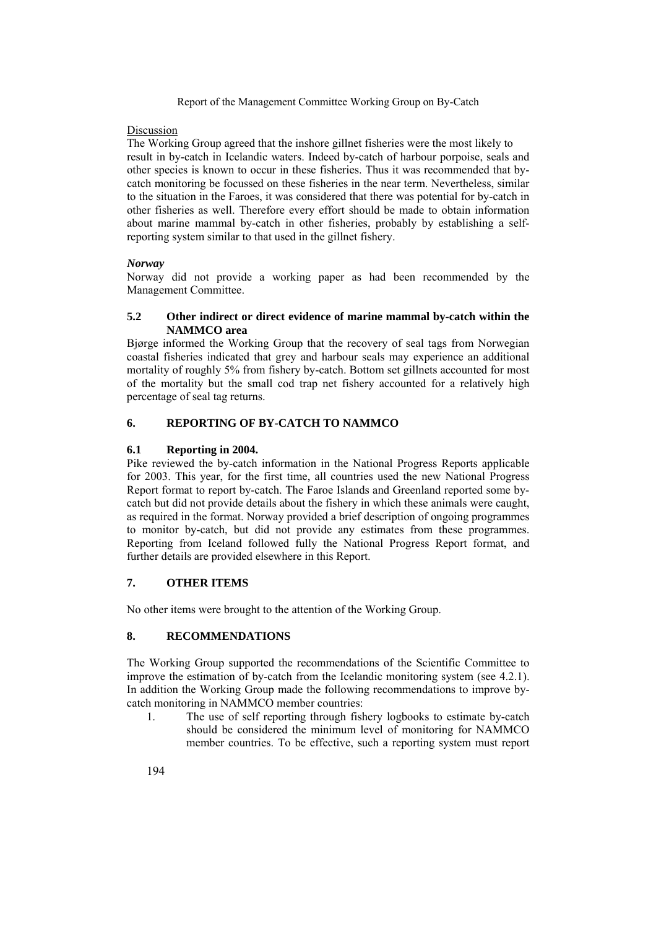## Discussion

The Working Group agreed that the inshore gillnet fisheries were the most likely to result in by-catch in Icelandic waters. Indeed by-catch of harbour porpoise, seals and other species is known to occur in these fisheries. Thus it was recommended that bycatch monitoring be focussed on these fisheries in the near term. Nevertheless, similar to the situation in the Faroes, it was considered that there was potential for by-catch in other fisheries as well. Therefore every effort should be made to obtain information about marine mammal by-catch in other fisheries, probably by establishing a selfreporting system similar to that used in the gillnet fishery.

# *Norway*

Norway did not provide a working paper as had been recommended by the Management Committee.

# **5.2 Other indirect or direct evidence of marine mammal by-catch within the NAMMCO area**

Bjørge informed the Working Group that the recovery of seal tags from Norwegian coastal fisheries indicated that grey and harbour seals may experience an additional mortality of roughly 5% from fishery by-catch. Bottom set gillnets accounted for most of the mortality but the small cod trap net fishery accounted for a relatively high percentage of seal tag returns.

# **6. REPORTING OF BY-CATCH TO NAMMCO**

# **6.1 Reporting in 2004.**

Pike reviewed the by-catch information in the National Progress Reports applicable for 2003. This year, for the first time, all countries used the new National Progress Report format to report by-catch. The Faroe Islands and Greenland reported some bycatch but did not provide details about the fishery in which these animals were caught, as required in the format. Norway provided a brief description of ongoing programmes to monitor by-catch, but did not provide any estimates from these programmes. Reporting from Iceland followed fully the National Progress Report format, and further details are provided elsewhere in this Report.

# **7. OTHER ITEMS**

No other items were brought to the attention of the Working Group.

# **8. RECOMMENDATIONS**

The Working Group supported the recommendations of the Scientific Committee to improve the estimation of by-catch from the Icelandic monitoring system (see 4.2.1). In addition the Working Group made the following recommendations to improve bycatch monitoring in NAMMCO member countries:

1. The use of self reporting through fishery logbooks to estimate by-catch should be considered the minimum level of monitoring for NAMMCO member countries. To be effective, such a reporting system must report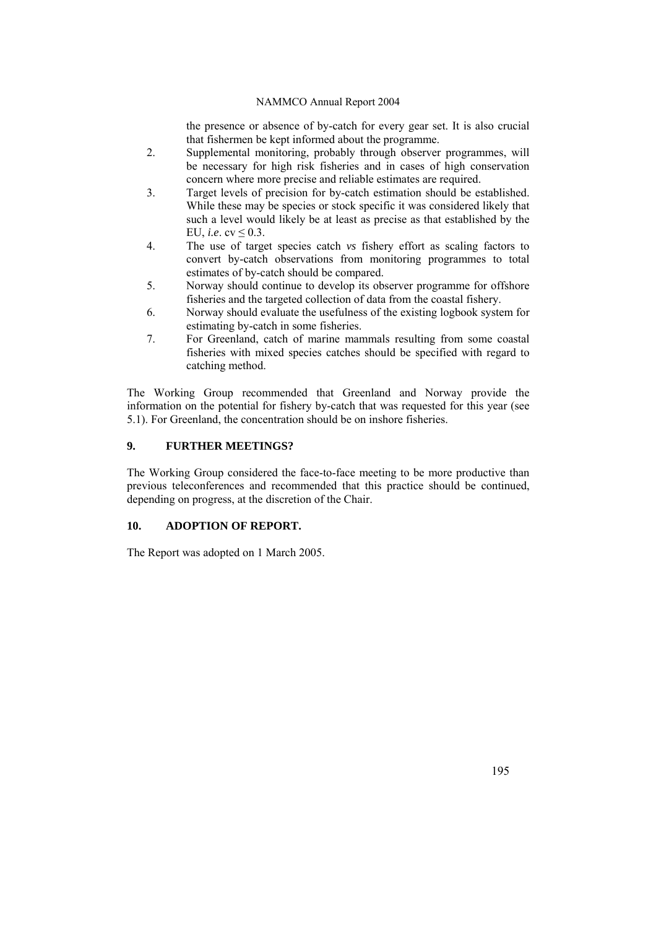the presence or absence of by-catch for every gear set. It is also crucial that fishermen be kept informed about the programme.

- 2. Supplemental monitoring, probably through observer programmes, will be necessary for high risk fisheries and in cases of high conservation concern where more precise and reliable estimates are required.
- 3. Target levels of precision for by-catch estimation should be established. While these may be species or stock specific it was considered likely that such a level would likely be at least as precise as that established by the EU, *i.e.*  $cv \leq 0.3$ .
- 4. The use of target species catch *vs* fishery effort as scaling factors to convert by-catch observations from monitoring programmes to total estimates of by-catch should be compared.
- 5. Norway should continue to develop its observer programme for offshore fisheries and the targeted collection of data from the coastal fishery.
- 6. Norway should evaluate the usefulness of the existing logbook system for estimating by-catch in some fisheries.
- 7. For Greenland, catch of marine mammals resulting from some coastal fisheries with mixed species catches should be specified with regard to catching method.

The Working Group recommended that Greenland and Norway provide the information on the potential for fishery by-catch that was requested for this year (see 5.1). For Greenland, the concentration should be on inshore fisheries.

# **9. FURTHER MEETINGS?**

The Working Group considered the face-to-face meeting to be more productive than previous teleconferences and recommended that this practice should be continued, depending on progress, at the discretion of the Chair.

# **10. ADOPTION OF REPORT.**

The Report was adopted on 1 March 2005.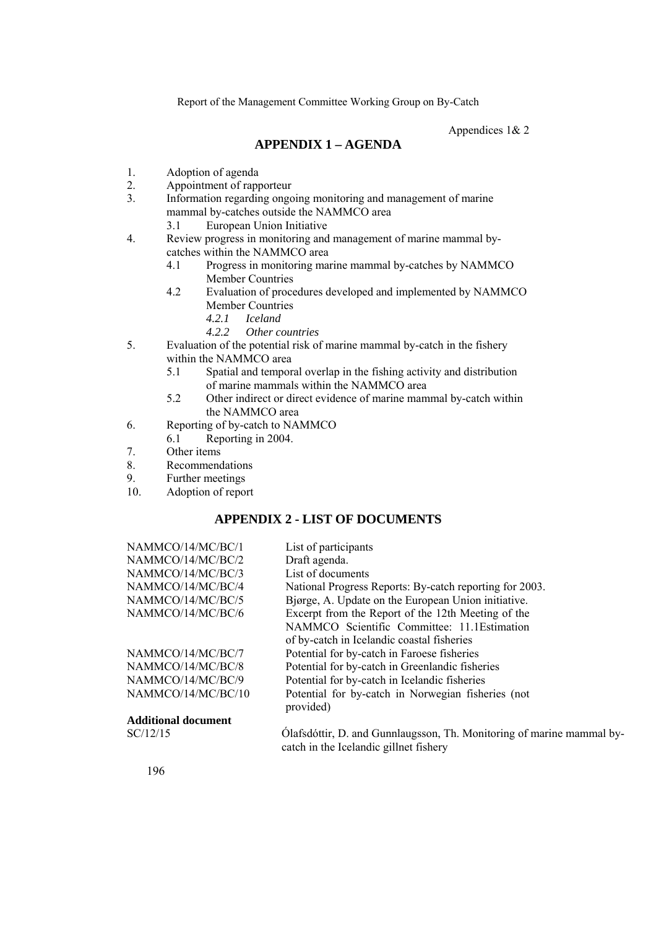Appendices 1& 2

# **APPENDIX 1 – AGENDA**

- 1. Adoption of agenda
- 2. Appointment of rapporteur
- 3. Information regarding ongoing monitoring and management of marine mammal by-catches outside the NAMMCO area
	- 3.1 European Union Initiative
- 4. Review progress in monitoring and management of marine mammal bycatches within the NAMMCO area
	- 4.1 Progress in monitoring marine mammal by-catches by NAMMCO Member Countries
	- 4.2 Evaluation of procedures developed and implemented by NAMMCO Member Countries
		- *4.2.1 Iceland*
		- *4.2.2 Other countries*
- 5. Evaluation of the potential risk of marine mammal by-catch in the fishery within the NAMMCO area
	- 5.1 Spatial and temporal overlap in the fishing activity and distribution of marine mammals within the NAMMCO area
	- 5.2 Other indirect or direct evidence of marine mammal by-catch within the NAMMCO area
- 6. Reporting of by-catch to NAMMCO
- 6.1 Reporting in 2004.
- 7. Other items
- 8. Recommendations
- 9. Further meetings
- 10. Adoption of report

# **APPENDIX 2 - LIST OF DOCUMENTS**

| NAMMCO/14/MC/BC/1          | List of participants                                                                                            |
|----------------------------|-----------------------------------------------------------------------------------------------------------------|
| NAMMCO/14/MC/BC/2          | Draft agenda.                                                                                                   |
| NAMMCO/14/MC/BC/3          | List of documents                                                                                               |
| NAMMCO/14/MC/BC/4          | National Progress Reports: By-catch reporting for 2003.                                                         |
| NAMMCO/14/MC/BC/5          | Bjørge, A. Update on the European Union initiative.                                                             |
| NAMMCO/14/MC/BC/6          | Excerpt from the Report of the 12th Meeting of the                                                              |
|                            | NAMMCO Scientific Committee: 11.1 Estimation                                                                    |
|                            | of by-catch in Icelandic coastal fisheries                                                                      |
| NAMMCO/14/MC/BC/7          | Potential for by-catch in Faroese fisheries                                                                     |
| NAMMCO/14/MC/BC/8          | Potential for by-catch in Greenlandic fisheries                                                                 |
| NAMMCO/14/MC/BC/9          | Potential for by-catch in Icelandic fisheries                                                                   |
| NAMMCO/14/MC/BC/10         | Potential for by-catch in Norwegian fisheries (not<br>provided)                                                 |
| <b>Additional document</b> |                                                                                                                 |
| SC/12/15                   | Olafsdóttir, D. and Gunnlaugsson, Th. Monitoring of marine mammal by-<br>catch in the Icelandic gillnet fishery |